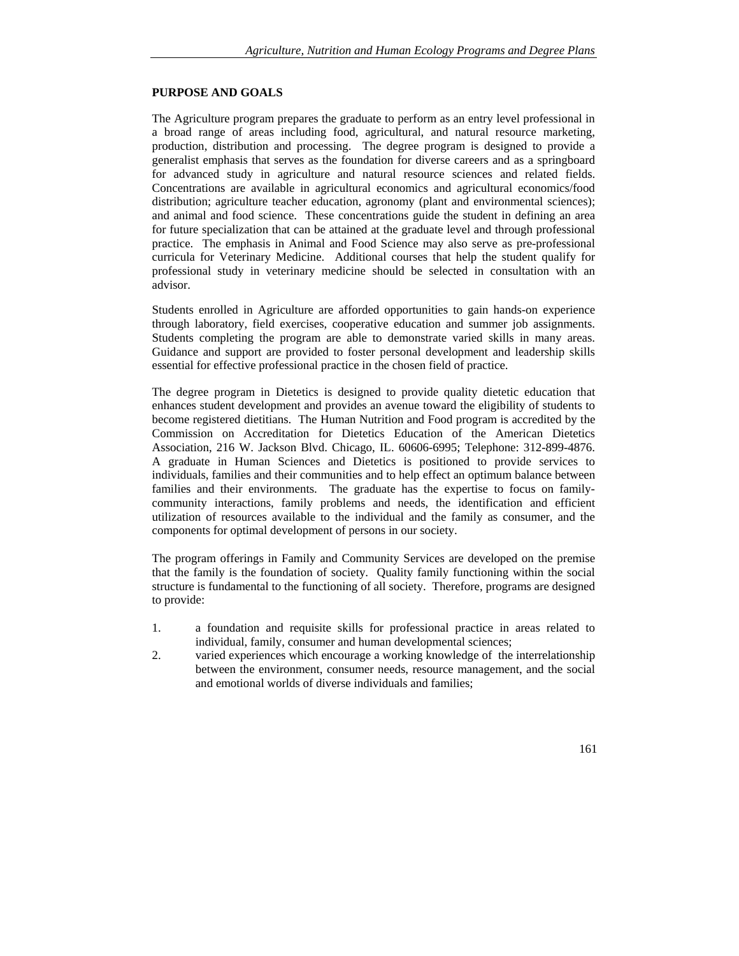### **PURPOSE AND GOALS**

The Agriculture program prepares the graduate to perform as an entry level professional in a broad range of areas including food, agricultural, and natural resource marketing, production, distribution and processing. The degree program is designed to provide a generalist emphasis that serves as the foundation for diverse careers and as a springboard for advanced study in agriculture and natural resource sciences and related fields. Concentrations are available in agricultural economics and agricultural economics/food distribution; agriculture teacher education, agronomy (plant and environmental sciences); and animal and food science. These concentrations guide the student in defining an area for future specialization that can be attained at the graduate level and through professional practice. The emphasis in Animal and Food Science may also serve as pre-professional curricula for Veterinary Medicine. Additional courses that help the student qualify for professional study in veterinary medicine should be selected in consultation with an advisor.

Students enrolled in Agriculture are afforded opportunities to gain hands-on experience through laboratory, field exercises, cooperative education and summer job assignments. Students completing the program are able to demonstrate varied skills in many areas. Guidance and support are provided to foster personal development and leadership skills essential for effective professional practice in the chosen field of practice.

The degree program in Dietetics is designed to provide quality dietetic education that enhances student development and provides an avenue toward the eligibility of students to become registered dietitians. The Human Nutrition and Food program is accredited by the Commission on Accreditation for Dietetics Education of the American Dietetics Association, 216 W. Jackson Blvd. Chicago, IL. 60606-6995; Telephone: 312-899-4876. A graduate in Human Sciences and Dietetics is positioned to provide services to individuals, families and their communities and to help effect an optimum balance between families and their environments. The graduate has the expertise to focus on familycommunity interactions, family problems and needs, the identification and efficient utilization of resources available to the individual and the family as consumer, and the components for optimal development of persons in our society.

The program offerings in Family and Community Services are developed on the premise that the family is the foundation of society. Quality family functioning within the social structure is fundamental to the functioning of all society. Therefore, programs are designed to provide:

- 1. a foundation and requisite skills for professional practice in areas related to individual, family, consumer and human developmental sciences;
- 2. varied experiences which encourage a working knowledge of the interrelationship between the environment, consumer needs, resource management, and the social and emotional worlds of diverse individuals and families;

161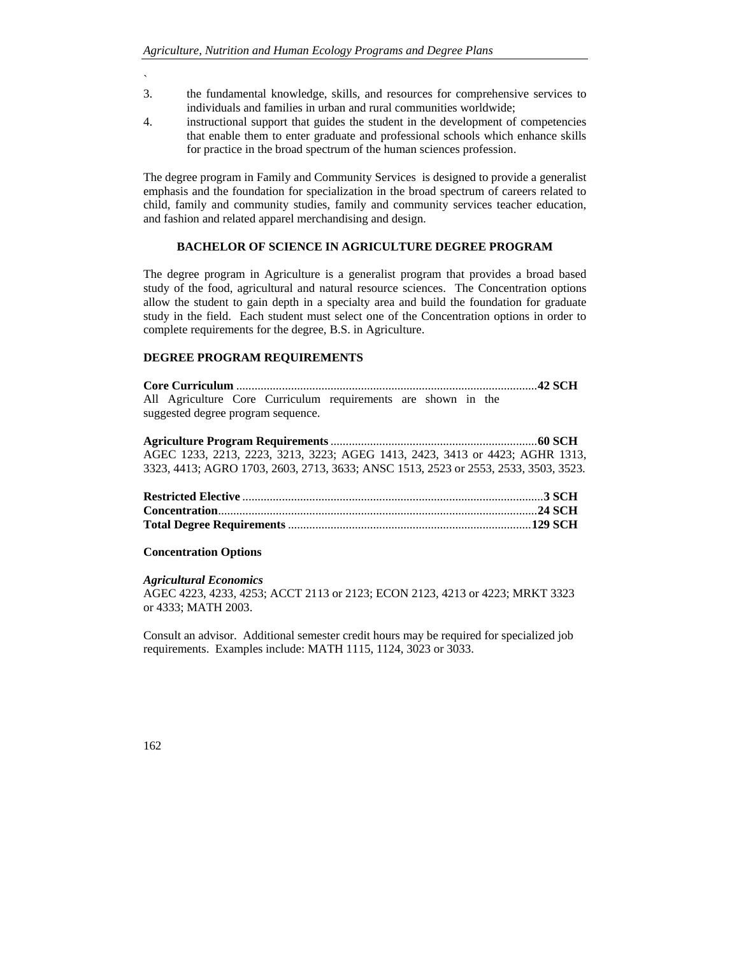- `
- 3. the fundamental knowledge, skills, and resources for comprehensive services to individuals and families in urban and rural communities worldwide;
- 4. instructional support that guides the student in the development of competencies that enable them to enter graduate and professional schools which enhance skills for practice in the broad spectrum of the human sciences profession.

The degree program in Family and Community Services is designed to provide a generalist emphasis and the foundation for specialization in the broad spectrum of careers related to child, family and community studies, family and community services teacher education, and fashion and related apparel merchandising and design.

### **BACHELOR OF SCIENCE IN AGRICULTURE DEGREE PROGRAM**

The degree program in Agriculture is a generalist program that provides a broad based study of the food, agricultural and natural resource sciences. The Concentration options allow the student to gain depth in a specialty area and build the foundation for graduate study in the field. Each student must select one of the Concentration options in order to complete requirements for the degree, B.S. in Agriculture.

# **DEGREE PROGRAM REQUIREMENTS**

|                                    |  |  |  | All Agriculture Core Curriculum requirements are shown in the |  |  |  |  |  |
|------------------------------------|--|--|--|---------------------------------------------------------------|--|--|--|--|--|
| suggested degree program sequence. |  |  |  |                                                               |  |  |  |  |  |

| AGEC 1233, 2213, 2223, 3213, 3223; AGEG 1413, 2423, 3413 or 4423; AGHR 1313,        |  |  |
|-------------------------------------------------------------------------------------|--|--|
| 3323, 4413; AGRO 1703, 2603, 2713, 3633; ANSC 1513, 2523 or 2553, 2533, 3503, 3523, |  |  |

## **Concentration Options**

#### *Agricultural Economics*

AGEC 4223, 4233, 4253; ACCT 2113 or 2123; ECON 2123, 4213 or 4223; MRKT 3323 or 4333; MATH 2003.

Consult an advisor. Additional semester credit hours may be required for specialized job requirements. Examples include: MATH 1115, 1124, 3023 or 3033.